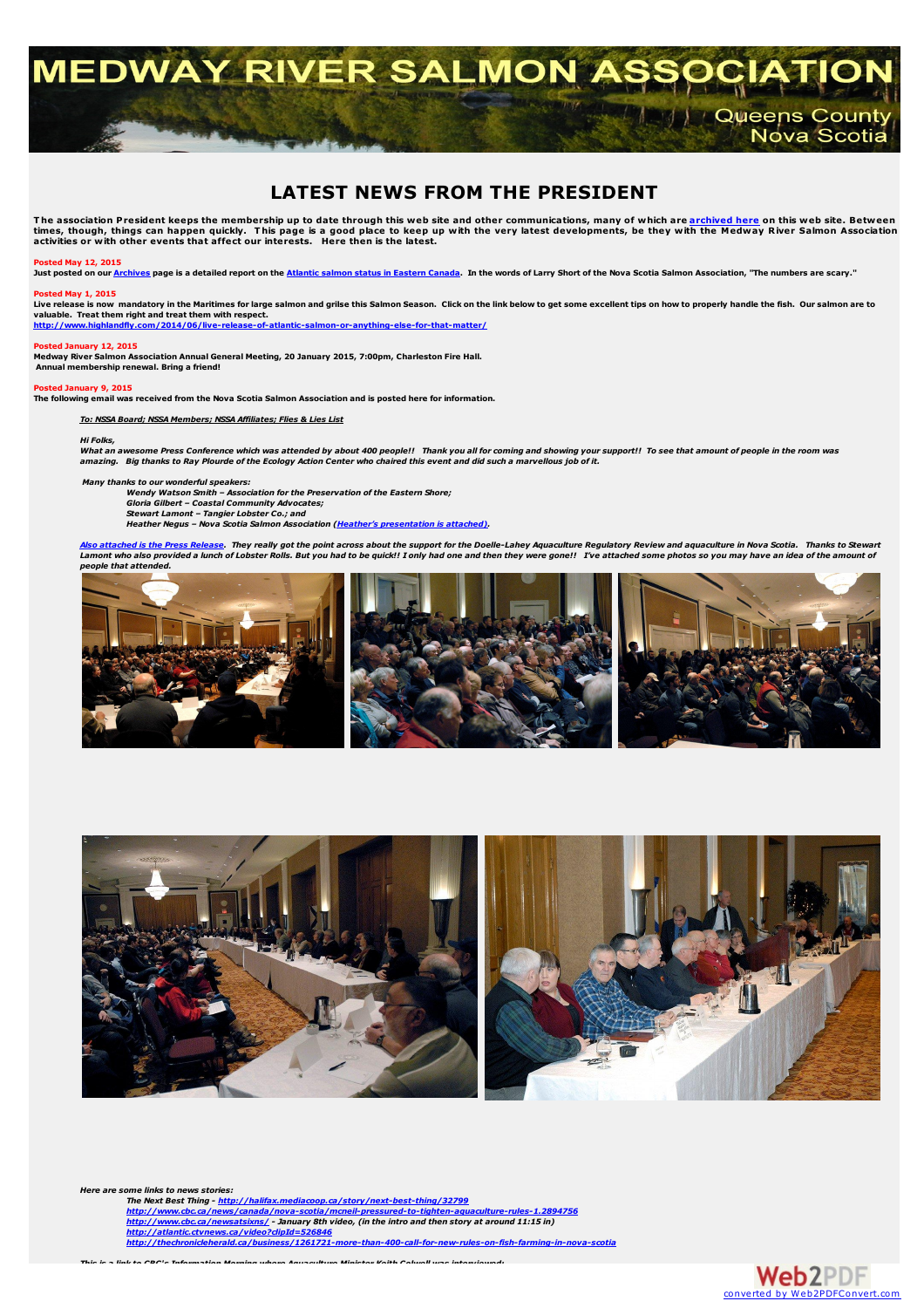# **MEDWAY RIVER SALMON ASS All Cueens County** Nova Scotia

# **LATEST NEWS FROM THE PRESIDENT**

The association President keeps the membership up to date through this web site and other communications, many of which are <mark>[archived](../archives/archives.html) here</mark> on this web site. Between<br>times, though, things can happen quickly. This page is a

### **Posted May 12, 2015**

Just posted on our [Archives](../archives/archives.html) page is a detailed report on the Atlantic salmon status in [Eastern](../archives/ASAC stock status presentation-may 2015.pdf) Canada. In the words of Larry Short of the Nova Scotia Salmon Association, "The numbers are scary."

## **Posted May 1, 2015**

Live release is now mandatory in the Maritimes for large salmon and grilse this Salmon Season. Click on the link below to get some excellent tips on how to properly handle the fish. Our salmon are to<br>valuable. Treat them r

**<http://www.highlandfly.com/2014/06/live-release-of-atlantic-salmon-or-anything-else-for-that-matter/>**

### **Posted January 12, 2015**

**Medway River Salmon Association Annual General Meeting, 20 January 2015, 7:00pm, Charleston Fire Hall. Annual membership renewal. Bring a friend!**

### **Posted January 9, 2015**

The following email was received from the Nova Scotia Salmon Association and is posted here for information.

### *To: NSSA Board; NSSA Members; NSSA Affiliates; Flies & Lies List*

## *Hi Folks,*

What an awesome Press Conference which was attended by about 400 people!! Thank you all for coming and showing your support!! To see that amount of people in the room was amazing. Big thanks to Ray Plourde of the Ecology Action Center who chaired this event and did such a marvellous job of it.

*Many thanks to our wonderful speakers:*

*Wendy Watson Smith – Association for the Preservation of the Eastern Shore; Gloria Gilbert – Coastal Community Advocates; Stewart Lamont – Tangier Lobster Co.; and Heather Negus – Nova Scotia Salmon Association (Heather's [presentation](NSSA Presentation - Aquaculture Press Conference.pdf) is attached).*

<mark>Also [attached](ACAR NS Press Release - DL Reaction- Jan 8 2015.pdf) is the Press Release</mark>. They really got the point across about the support for the Doelle-Lahey Aquaculture Regulatory Review and aquaculture in Nova Scotia. Thanks to Stewart<br>Lamont who also provided a lunch *people that attended.*





*Here are some links to news stories:*

*The Next Best Thing - <http://halifax.mediacoop.ca/story/next-best-thing/32799>* http://www.cbc.ca/news/canada/nova-scotia/mcneil-pressured-to-tighten-aquaculture-rules-1,2894756<br><http://www.cbc.ca/newsatsixns/> - January 8th video, (in the intro and then story at around 11:15 in)<br>http://atlantic.ctvnews

*This is a link to CBC's Information Morning where Aquaculture Minister Keith Colwell was interviewed:*